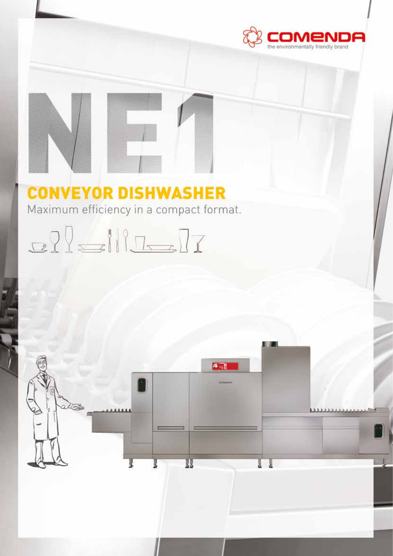



# **CONVEYOR DISHWASHER**

Maximum efficiency in a compact format.

 $22 = 111 - 77$ 

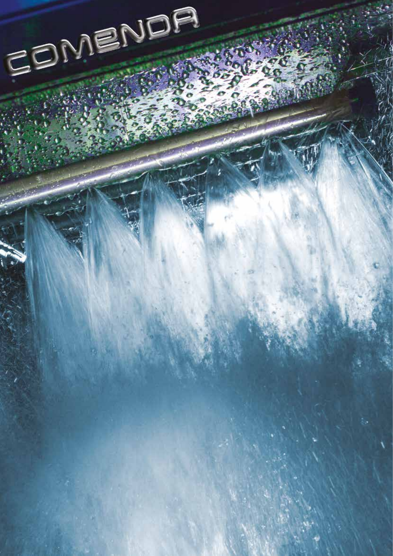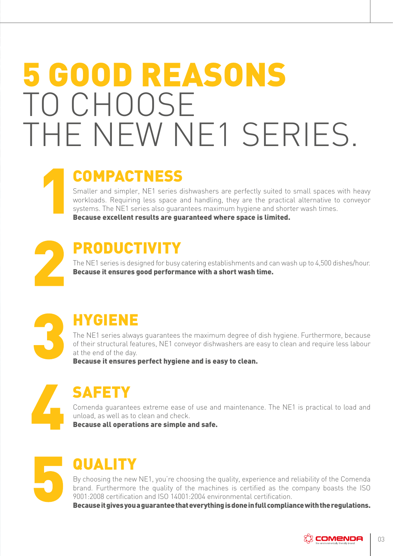# 5 GOOD REASONS TO CHOOSE THE NEW NE1 SERIES.



## COMPACTNESS

Smaller and simpler, NE1 series dishwashers are perfectly suited to small spaces with heavy workloads. Requiring less space and handling, they are the practical alternative to conveyor systems. The NE1 series also guarantees maximum hygiene and shorter wash times. Because excellent results are guaranteed where space is limited.



The NE1 series is designed for busy catering establishments and can wash up to 4,500 dishes/hour. Because it ensures good performance with a short wash time.



## HYGIENE

The NE1 series always guarantees the maximum degree of dish hygiene. Furthermore, because of their structural features, NE1 conveyor dishwashers are easy to clean and require less labour at the end of the day.

Because it ensures perfect hygiene and is easy to clean.



## **SAFETY**

Comenda guarantees extreme ease of use and maintenance. The NE1 is practical to load and unload, as well as to clean and check.

Because all operations are simple and safe.



## **QUALITY**

By choosing the new NE1, you're choosing the quality, experience and reliability of the Comenda brand. Furthermore the quality of the machines is certified as the company boasts the ISO 9001:2008 certification and ISO 14001:2004 environmental certification.

Because it gives you a guarantee that everything is done in full compliance with the regulations.

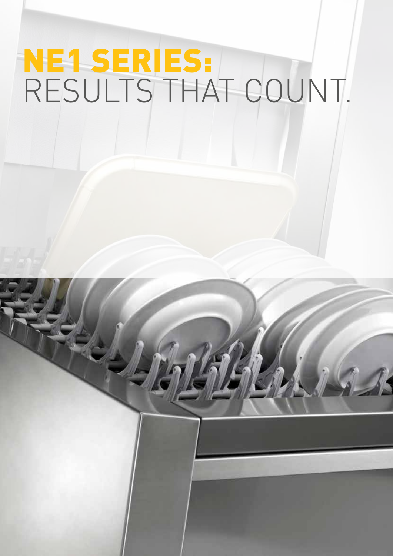# NE1 SERIES: RESULTS THAT COUNT.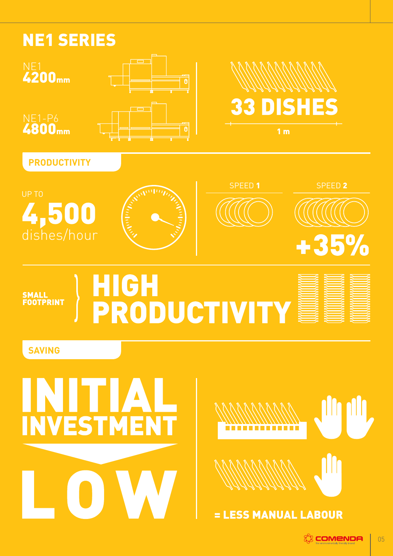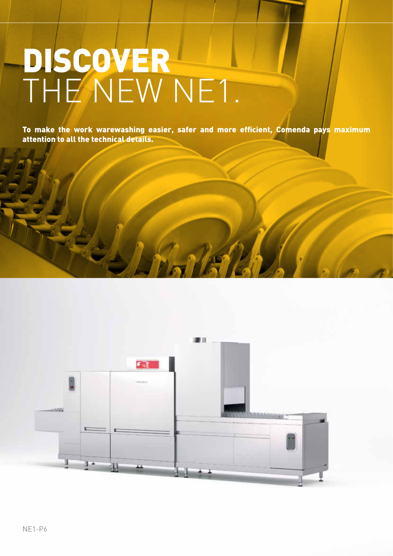# DISCOVER THE NEW NE1.

To make the work warewashing easier, safer and more efficient, Comenda pays maximum attention to all the technical details.

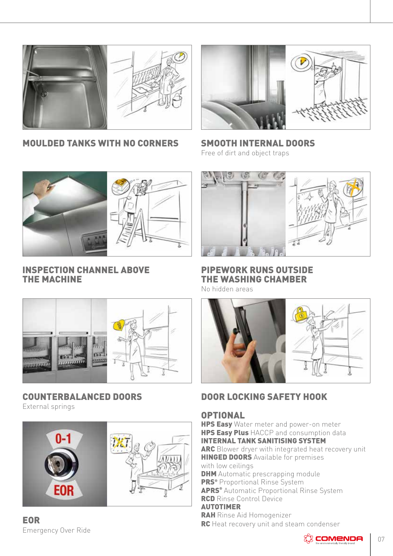

MOULDED TANKS WITH NO CORNERS SMOOTH INTERNAL DOORS



Free of dirt and object traps



#### INSPECTION CHANNEL ABOVE THE MACHINE



External springs



EOR Emergency Over Ride



PIPEWORK RUNS OUTSIDE THE WASHING CHAMBER No hidden areas



#### COUNTERBALANCED DOORS DOOR LOCKING SAFETY HOOK

#### OPTIONAL

**HPS Easy** Water meter and power-on meter **HPS Easy Plus** HACCP and consumption data INTERNAL TANK SANITISING SYSTEM ARC Blower dryer with integrated heat recovery unit **HINGED DOORS** Available for premises with low ceilings **DHM** Automatic prescrapping module PRS® Proportional Rinse System APRS® Automatic Proportional Rinse System RCD Rinse Control Device AUTOTIMER RAH Rinse Aid Homogenizer RC Heat recovery unit and steam condenser

**COMENDA**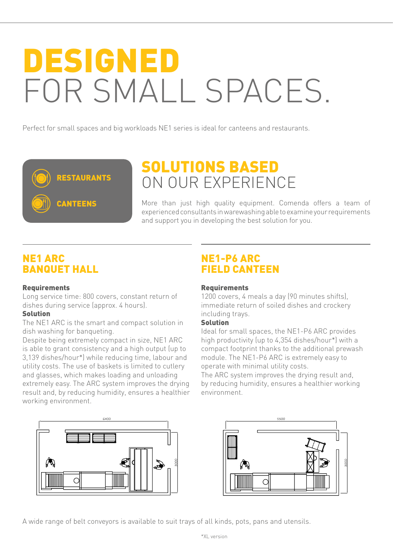# DESIGNED FOR SMALL SPACES.

Perfect for small spaces and big workloads NE1 series is ideal for canteens and restaurants.



**CANTEENS** 

## SOLUTIONS BASED ON OUR EXPERIENCE

More than just high quality equipment. Comenda offers a team of experienced consultants in warewashing able to examine your requirements and support you in developing the best solution for you.

#### NE1 ARC BANQUET HALL

#### **Requirements**

Long service time: 800 covers, constant return of dishes during service (approx. 4 hours).

#### Solution

The NE1 ARC is the smart and compact solution in dish washing for banqueting.

Despite being extremely compact in size, NE1 ARC is able to grant consistency and a high output (up to 3,139 dishes/hour\*) while reducing time, labour and utility costs. The use of baskets is limited to cutlery and glasses, which makes loading and unloading extremely easy. The ARC system improves the drying result and, by reducing humidity, ensures a healthier working environment.

# $\bigcap$

#### NE1-P6 ARC FIELD CANTEEN

#### **Requirements**

1200 covers, 4 meals a day (90 minutes shifts), immediate return of soiled dishes and crockery including trays.

#### **Solution**

Ideal for small spaces, the NE1-P6 ARC provides high productivity (up to 4,354 dishes/hour\*) with a compact footprint thanks to the additional prewash module. The NE1-P6 ARC is extremely easy to operate with minimal utility costs.

The ARC system improves the drying result and, by reducing humidity, ensures a healthier working environment.



A wide range of belt conveyors is available to suit trays of all kinds, pots, pans and utensils.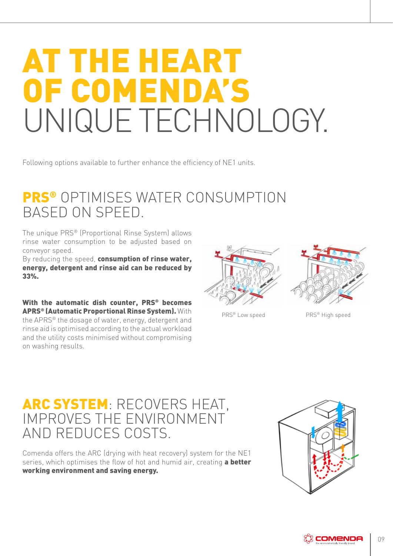# AT THE HEART OF COMENDA'S UNIQUE TECHNOLOGY.

Following options available to further enhance the efficiency of NE1 units.

## PRS® OPTIMISES WATER CONSUMPTION BASED ON SPEED.

The unique PRS® (Proportional Rinse System) allows rinse water consumption to be adjusted based on conveyor speed.

By reducing the speed, consumption of rinse water. energy, detergent and rinse aid can be reduced by 33%.

With the automatic dish counter. PRS<sup>®</sup> becomes APRS® (Automatic Proportional Rinse System). With the APRS® the dosage of water, energy, detergent and rinse aid is optimised according to the actual workload and the utility costs minimised without compromising on washing results.





PRS® Low speed PRS® High speed

### ARC SYSTEM: RECOVERS HEAT, IMPROVES THE ENVIRONMENT AND REDUCES COSTS.

Comenda offers the ARC (drying with heat recovery) system for the NE1 series, which optimises the flow of hot and humid air, creating a better working environment and saving energy.



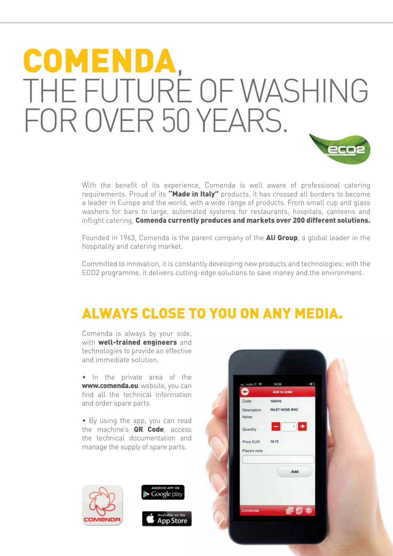# COMENDA, THE FUTURE OF WASHING FOR OVER 50 YEARS.

With the benefit of its experience, Comenda is well aware of professional catering requirements. Proud of its "Made in Italy" products, it has crossed all borders to become a leader in Europe and the world, with a wide range of products. From small cup and glass washers for bars to large, automated systems for restaurants, hospitals, canteens and inflight catering, Comenda currently produces and markets over 200 different solutions.

Founded in 1963, Comenda is the parent company of the **Ali Group**, a global leader in the hospitality and catering market.

Committed to innovation, it is constantly developing new products and technologies: with the ECO2 programme, it delivers cutting-edge solutions to save money and the environment.

## ALWAYS CLOSE TO YOU ON ANY MEDIA.

Comenda is always by your side, with **well-trained engineers** and technologies to provide an effective and immediate solution.

• In the private area of the www.comenda.eu website, you can find all the technical information and order spare parts.

• By using the app, you can read the machine's **QR Code**, access the technical documentation and manage the supply of spare parts.





Google nis

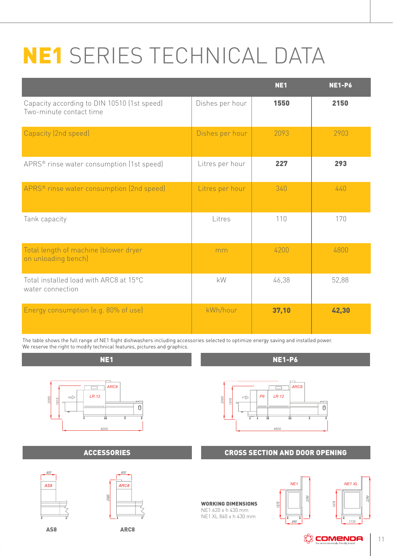# NE1 SERIES TECHNICAL DATA

|                                                                        |                 | NE <sub>1</sub> | <b>NE1-P6</b> |
|------------------------------------------------------------------------|-----------------|-----------------|---------------|
| Capacity according to DIN 10510 (1st speed)<br>Two-minute contact time | Dishes per hour | 1550            | 2150          |
| Capacity (2nd speed)                                                   | Dishes per hour | 2093            | 2903          |
| APRS® rinse water consumption (1st speed)                              | Litres per hour | 227             | 293           |
| APRS <sup>®</sup> rinse water consumption (2nd speed)                  | Litres per hour | 340             | 440           |
| Tank capacity                                                          | Litres          | 110             | 170           |
| Total length of machine (blower dryer<br>on unloading bench)           | mm              | 4200            | 4800          |
| Total installed load with ARC8 at 15°C<br>water connection             | kW              | 46,38           | 52,88         |
| Energy consumption (e.g. 80% of use)                                   | kWh/hour        | 37,10           | 42,30         |

The table shows the full range of NE1 flight dishwashers including accessories selected to optimize energy saving and installed power. We reserve the right to modify technical features, pictures and graphics.



*4200*





AS8 ARC8



*4800*

WORKING DIMENSIONS NE1 620 x h 430 mm NE1 XL 840 x h 430 mm





11